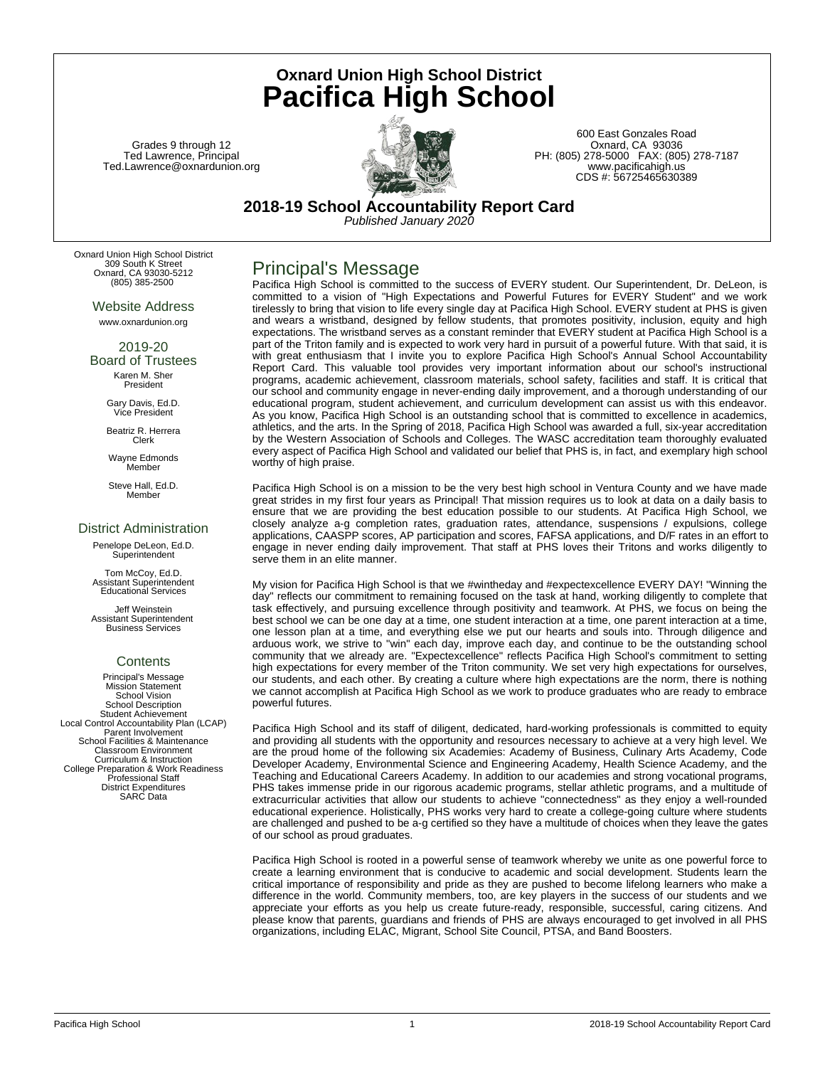Grades 9 through 12 Ted Lawrence, Principal Ted.Lawrence@oxnardunion.org



**Oxnard Union High School District Pacifica High School**

> 600 East Gonzales Road Oxnard, CA 93036 PH: (805) 278-5000 FAX: (805) 278-7187 www.pacificahigh.us CDS #: 56725465630389

**2018-19 School Accountability Report Card** *Published January 2020*

Oxnard Union High School District 309 South K Street Oxnard, CA 93030-5212 (805) 385-2500

> Website Address www.oxnardunion.org

2019-20 Board of Trustees Karen M. Sher President

> Gary Davis, Ed.D. Vice President

Beatriz R. Herrera Clerk

Wayne Edmonds Member

Steve Hall, Ed.D. Member

### District Administration

Penelope DeLeon, Ed.D. Superintenden

Tom McCoy, Ed.D. Assistant Superintendent Educational Services

Jeff Weinstein Assistant Superintendent Business Services

## **Contents**

Principal's Message Mission Statement School Vision School Description Student Achievement Local Control Accountability Plan (LCAP) Parent Involvement School Facilities & Maintenance Classroom Environment Curriculum & Instruction College Preparation & Work Readiness Professional Staff District Expenditures SARC Data

## Principal's Message

Pacifica High School is committed to the success of EVERY student. Our Superintendent, Dr. DeLeon, is committed to a vision of "High Expectations and Powerful Futures for EVERY Student" and we work tirelessly to bring that vision to life every single day at Pacifica High School. EVERY student at PHS is given and wears a wristband, designed by fellow students, that promotes positivity, inclusion, equity and high expectations. The wristband serves as a constant reminder that EVERY student at Pacifica High School is a part of the Triton family and is expected to work very hard in pursuit of a powerful future. With that said, it is with great enthusiasm that I invite you to explore Pacifica High School's Annual School Accountability Report Card. This valuable tool provides very important information about our school's instructional programs, academic achievement, classroom materials, school safety, facilities and staff. It is critical that our school and community engage in never-ending daily improvement, and a thorough understanding of our educational program, student achievement, and curriculum development can assist us with this endeavor. As you know, Pacifica High School is an outstanding school that is committed to excellence in academics, athletics, and the arts. In the Spring of 2018, Pacifica High School was awarded a full, six-year accreditation by the Western Association of Schools and Colleges. The WASC accreditation team thoroughly evaluated every aspect of Pacifica High School and validated our belief that PHS is, in fact, and exemplary high school worthy of high praise.

Pacifica High School is on a mission to be the very best high school in Ventura County and we have made great strides in my first four years as Principal! That mission requires us to look at data on a daily basis to ensure that we are providing the best education possible to our students. At Pacifica High School, we closely analyze a-g completion rates, graduation rates, attendance, suspensions / expulsions, college applications, CAASPP scores, AP participation and scores, FAFSA applications, and D/F rates in an effort to engage in never ending daily improvement. That staff at PHS loves their Tritons and works diligently to serve them in an elite manner.

My vision for Pacifica High School is that we #wintheday and #expectexcellence EVERY DAY! "Winning the day" reflects our commitment to remaining focused on the task at hand, working diligently to complete that task effectively, and pursuing excellence through positivity and teamwork. At PHS, we focus on being the best school we can be one day at a time, one student interaction at a time, one parent interaction at a time, one lesson plan at a time, and everything else we put our hearts and souls into. Through diligence and arduous work, we strive to "win" each day, improve each day, and continue to be the outstanding school community that we already are. "Expectexcellence" reflects Pacifica High School's commitment to setting high expectations for every member of the Triton community. We set very high expectations for ourselves, our students, and each other. By creating a culture where high expectations are the norm, there is nothing we cannot accomplish at Pacifica High School as we work to produce graduates who are ready to embrace powerful futures.

Pacifica High School and its staff of diligent, dedicated, hard-working professionals is committed to equity and providing all students with the opportunity and resources necessary to achieve at a very high level. We are the proud home of the following six Academies: Academy of Business, Culinary Arts Academy, Code Developer Academy, Environmental Science and Engineering Academy, Health Science Academy, and the Teaching and Educational Careers Academy. In addition to our academies and strong vocational programs, PHS takes immense pride in our rigorous academic programs, stellar athletic programs, and a multitude of extracurricular activities that allow our students to achieve "connectedness" as they enjoy a well-rounded educational experience. Holistically, PHS works very hard to create a college-going culture where students are challenged and pushed to be a-g certified so they have a multitude of choices when they leave the gates of our school as proud graduates.

Pacifica High School is rooted in a powerful sense of teamwork whereby we unite as one powerful force to create a learning environment that is conducive to academic and social development. Students learn the critical importance of responsibility and pride as they are pushed to become lifelong learners who make a difference in the world. Community members, too, are key players in the success of our students and we appreciate your efforts as you help us create future-ready, responsible, successful, caring citizens. And please know that parents, guardians and friends of PHS are always encouraged to get involved in all PHS organizations, including ELAC, Migrant, School Site Council, PTSA, and Band Boosters.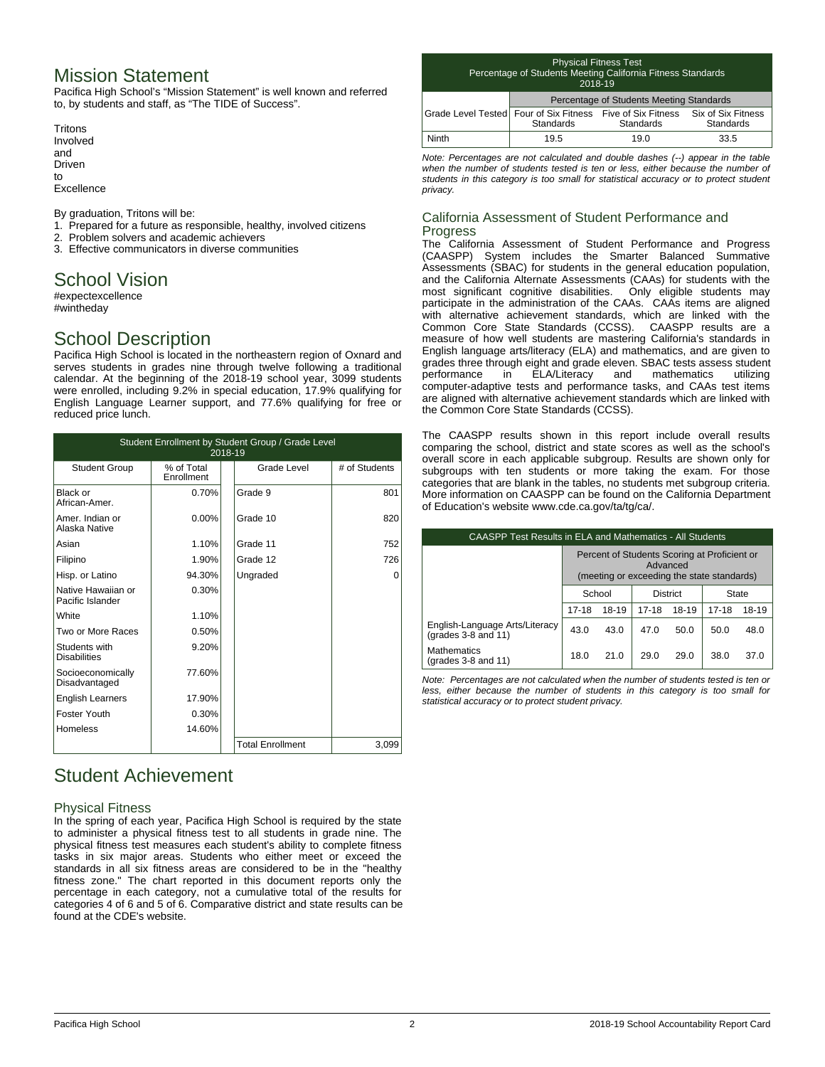## Mission Statement

Pacifica High School's "Mission Statement" is well known and referred to, by students and staff, as "The TIDE of Success".

**Tritons** Involved and Driven to Excellence

By graduation, Tritons will be:

- 1. Prepared for a future as responsible, healthy, involved citizens
- 2. Problem solvers and academic achievers
- 3. Effective communicators in diverse communities

## School Vision

#expectexcellence #wintheday

# School Description

Pacifica High School is located in the northeastern region of Oxnard and serves students in grades nine through twelve following a traditional calendar. At the beginning of the 2018-19 school year, 3099 students were enrolled, including 9.2% in special education, 17.9% qualifying for English Language Learner support, and 77.6% qualifying for free or reduced price lunch.

| Student Enrollment by Student Group / Grade Level<br>2018-19 |                          |  |                         |               |  |
|--------------------------------------------------------------|--------------------------|--|-------------------------|---------------|--|
| <b>Student Group</b>                                         | % of Total<br>Enrollment |  | Grade Level             | # of Students |  |
| Black or<br>African-Amer.                                    | 0.70%                    |  | Grade 9                 | 801           |  |
| Amer, Indian or<br>Alaska Native                             | $0.00\%$                 |  | Grade 10                | 820           |  |
| Asian                                                        | 1.10%                    |  | Grade 11                | 752           |  |
| Filipino                                                     | 1.90%                    |  | Grade 12                | 726           |  |
| Hisp. or Latino                                              | 94.30%                   |  | Ungraded                | $\Omega$      |  |
| Native Hawaiian or<br>Pacific Islander                       | 0.30%                    |  |                         |               |  |
| White                                                        | 1.10%                    |  |                         |               |  |
| Two or More Races                                            | 0.50%                    |  |                         |               |  |
| Students with<br><b>Disabilities</b>                         | 9.20%                    |  |                         |               |  |
| Socioeconomically<br>Disadvantaged                           | 77.60%                   |  |                         |               |  |
| <b>English Learners</b>                                      | 17.90%                   |  |                         |               |  |
| Foster Youth                                                 | 0.30%                    |  |                         |               |  |
| Homeless                                                     | 14.60%                   |  |                         |               |  |
|                                                              |                          |  | <b>Total Enrollment</b> | 3,099         |  |

# Student Achievement

### Physical Fitness

In the spring of each year, Pacifica High School is required by the state to administer a physical fitness test to all students in grade nine. The physical fitness test measures each student's ability to complete fitness tasks in six major areas. Students who either meet or exceed the standards in all six fitness areas are considered to be in the "healthy fitness zone." The chart reported in this document reports only the percentage in each category, not a cumulative total of the results for categories 4 of 6 and 5 of 6. Comparative district and state results can be found at the CDE's website.

#### Physical Fitness Test Percentage of Students Meeting California Fitness Standards 2018-19

| 2000-0                                                                        |                                          |           |           |  |  |
|-------------------------------------------------------------------------------|------------------------------------------|-----------|-----------|--|--|
|                                                                               | Percentage of Students Meeting Standards |           |           |  |  |
| Grade Level Tested Four of Six Fitness Five of Six Fitness Six of Six Fitness | <b>Standards</b>                         | Standards | Standards |  |  |
| Ninth                                                                         | 19.5                                     | 19.0      | 33.5      |  |  |

*Note: Percentages are not calculated and double dashes (--) appear in the table when the number of students tested is ten or less, either because the number of students in this category is too small for statistical accuracy or to protect student privacy.*

### California Assessment of Student Performance and Progress

The California Assessment of Student Performance and Progress (CAASPP) System includes the Smarter Balanced Summative Assessments (SBAC) for students in the general education population, and the California Alternate Assessments (CAAs) for students with the most significant cognitive disabilities. Only eligible students may participate in the administration of the CAAs. CAAs items are aligned with alternative achievement standards, which are linked with the Common Core State Standards (CCSS). CAASPP results are a measure of how well students are mastering California's standards in English language arts/literacy (ELA) and mathematics, and are given to grades three through eight and grade eleven. SBAC tests assess student<br>performance in ELA/Literacy and mathematics utilizing performance in ELA/Literacy and mathematics utilizing computer-adaptive tests and performance tasks, and CAAs test items are aligned with alternative achievement standards which are linked with the Common Core State Standards (CCSS).

The CAASPP results shown in this report include overall results comparing the school, district and state scores as well as the school's overall score in each applicable subgroup. Results are shown only for subgroups with ten students or more taking the exam. For those categories that are blank in the tables, no students met subgroup criteria. More information on CAASPP can be found on the California Department of Education's website www.cde.ca.gov/ta/tg/ca/.

| CAASPP Test Results in ELA and Mathematics - All Students  |                                                                                                        |       |           |       |              |       |
|------------------------------------------------------------|--------------------------------------------------------------------------------------------------------|-------|-----------|-------|--------------|-------|
|                                                            | Percent of Students Scoring at Proficient or<br>Advanced<br>(meeting or exceeding the state standards) |       |           |       |              |       |
|                                                            | School<br><b>District</b>                                                                              |       |           |       | <b>State</b> |       |
|                                                            | $17 - 18$                                                                                              | 18-19 | $17 - 18$ | 18-19 | $17 - 18$    | 18-19 |
| English-Language Arts/Literacy<br>(grades $3-8$ and $11$ ) | 43.0                                                                                                   | 43.0  | 47.0      | 50.0  | 50.0         | 48.0  |
| Mathematics<br>(grades $3-8$ and $11$ )                    | 18.0                                                                                                   | 21.0  | 29.0      | 29.0  | 38.0         | 37.0  |

*Note: Percentages are not calculated when the number of students tested is ten or less, either because the number of students in this category is too small for statistical accuracy or to protect student privacy.*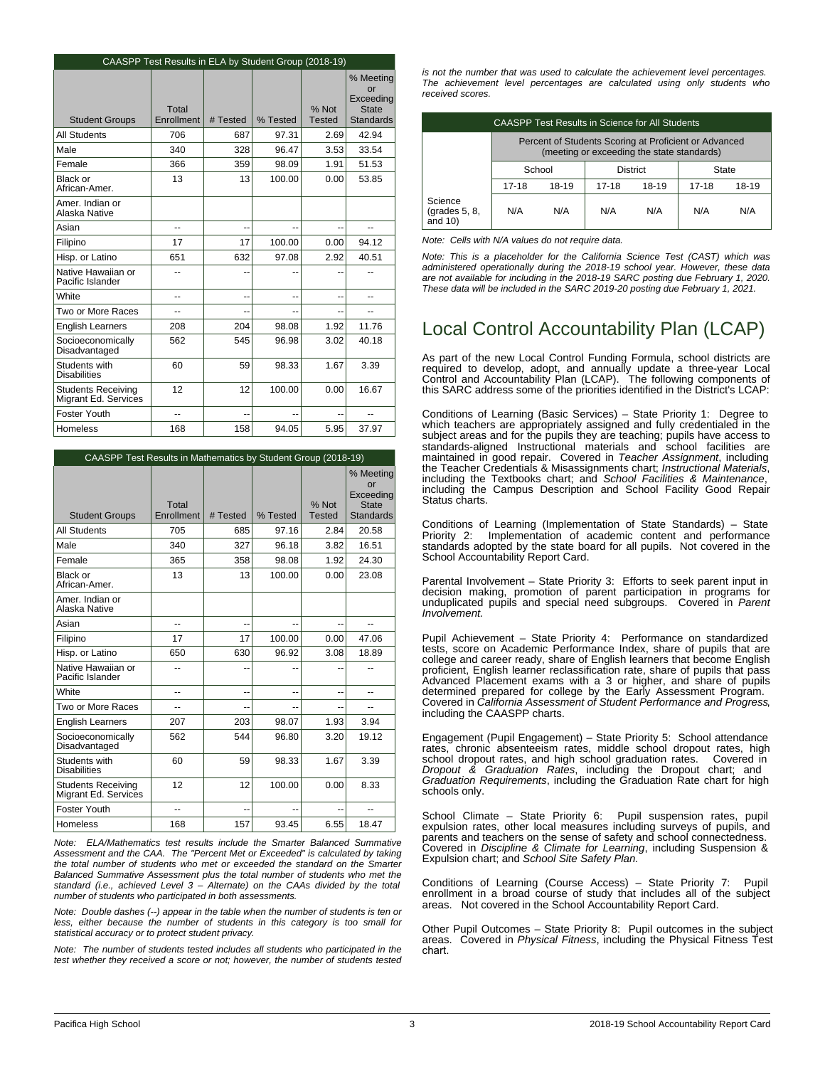|                                                   | CAASPP Test Results in ELA by Student Group (2018-19) |          |          |                        |                                                                  |
|---------------------------------------------------|-------------------------------------------------------|----------|----------|------------------------|------------------------------------------------------------------|
| <b>Student Groups</b>                             | Total<br>Enrollment                                   | # Tested | % Tested | % Not<br><b>Tested</b> | % Meeting<br>or<br>Exceeding<br><b>State</b><br><b>Standards</b> |
| <b>All Students</b>                               | 706                                                   | 687      | 97.31    | 2.69                   | 42.94                                                            |
| Male                                              | 340                                                   | 328      | 96.47    | 3.53                   | 33.54                                                            |
| Female                                            | 366                                                   | 359      | 98.09    | 1.91                   | 51.53                                                            |
| Black or<br>African-Amer.                         | 13                                                    | 13       | 100.00   | 0.00                   | 53.85                                                            |
| Amer. Indian or<br>Alaska Native                  |                                                       |          |          |                        |                                                                  |
| Asian                                             | $\overline{a}$                                        | --       | --       | --                     | $\overline{a}$                                                   |
| Filipino                                          | 17                                                    | 17       | 100.00   | 0.00                   | 94.12                                                            |
| Hisp. or Latino                                   | 651                                                   | 632      | 97.08    | 2.92                   | 40.51                                                            |
| Native Hawaiian or<br>Pacific Islander            |                                                       |          |          |                        |                                                                  |
| White                                             | --                                                    | --       | --       | --                     | $\overline{a}$                                                   |
| Two or More Races                                 | --                                                    | $-$      | --       | --                     | --                                                               |
| <b>English Learners</b>                           | 208                                                   | 204      | 98.08    | 1.92                   | 11.76                                                            |
| Socioeconomically<br>Disadvantaged                | 562                                                   | 545      | 96.98    | 3.02                   | 40.18                                                            |
| Students with<br><b>Disabilities</b>              | 60                                                    | 59       | 98.33    | 1.67                   | 3.39                                                             |
| <b>Students Receiving</b><br>Migrant Ed. Services | 12                                                    | 12       | 100.00   | 0.00                   | 16.67                                                            |
| Foster Youth                                      | --                                                    | $-$      | --       | --                     | $-$                                                              |
| <b>Homeless</b>                                   | 168                                                   | 158      | 94.05    | 5.95                   | 37.97                                                            |

| CAASPP Test Results in Mathematics by Student Group (2018-19) |                     |          |          |                        |                                                                  |
|---------------------------------------------------------------|---------------------|----------|----------|------------------------|------------------------------------------------------------------|
| <b>Student Groups</b>                                         | Total<br>Enrollment | # Tested | % Tested | % Not<br><b>Tested</b> | % Meeting<br>or<br>Exceeding<br><b>State</b><br><b>Standards</b> |
| <b>All Students</b>                                           | 705                 | 685      | 97.16    | 2.84                   | 20.58                                                            |
| Male                                                          | 340                 | 327      | 96.18    | 3.82                   | 16.51                                                            |
| Female                                                        | 365                 | 358      | 98.08    | 1.92                   | 24.30                                                            |
| Black or<br>African-Amer.                                     | 13                  | 13       | 100.00   | 0.00                   | 23.08                                                            |
| Amer. Indian or<br>Alaska Native                              |                     |          |          |                        |                                                                  |
| Asian                                                         | --                  | --       | --       | --                     | --                                                               |
| Filipino                                                      | 17                  | 17       | 100.00   | 0.00                   | 47.06                                                            |
| Hisp. or Latino                                               | 650                 | 630      | 96.92    | 3.08                   | 18.89                                                            |
| Native Hawaiian or<br>Pacific Islander                        | $-$                 | --       |          |                        |                                                                  |
| White                                                         | --                  | --       | --       | --                     | --                                                               |
| Two or More Races                                             | --                  |          |          |                        | --                                                               |
| <b>English Learners</b>                                       | 207                 | 203      | 98.07    | 1.93                   | 3.94                                                             |
| Socioeconomically<br>Disadvantaged                            | 562                 | 544      | 96.80    | 3.20                   | 19.12                                                            |
| Students with<br><b>Disabilities</b>                          | 60                  | 59       | 98.33    | 1.67                   | 3.39                                                             |
| <b>Students Receiving</b><br>Migrant Ed. Services             | 12                  | 12       | 100.00   | 0.00                   | 8.33                                                             |
| Foster Youth                                                  | --                  | --       |          |                        | $-$                                                              |
| Homeless                                                      | 168                 | 157      | 93.45    | 6.55                   | 18.47                                                            |

*Note: ELA/Mathematics test results include the Smarter Balanced Summative Assessment and the CAA. The "Percent Met or Exceeded" is calculated by taking the total number of students who met or exceeded the standard on the Smarter Balanced Summative Assessment plus the total number of students who met the standard (i.e., achieved Level 3 – Alternate) on the CAAs divided by the total number of students who participated in both assessments.*

*Note: Double dashes (--) appear in the table when the number of students is ten or less, either because the number of students in this category is too small for statistical accuracy or to protect student privacy.*

*Note: The number of students tested includes all students who participated in the test whether they received a score or not; however, the number of students tested* *is not the number that was used to calculate the achievement level percentages. The achievement level percentages are calculated using only students who received scores.*

| <b>CAASPP Test Results in Science for All Students</b> |                                                                                                     |       |                                  |     |     |     |
|--------------------------------------------------------|-----------------------------------------------------------------------------------------------------|-------|----------------------------------|-----|-----|-----|
|                                                        | Percent of Students Scoring at Proficient or Advanced<br>(meeting or exceeding the state standards) |       |                                  |     |     |     |
|                                                        | School<br><b>District</b><br>State                                                                  |       |                                  |     |     |     |
|                                                        | $17-18$                                                                                             | 18-19 | 18-19<br>18-19<br>17-18<br>17-18 |     |     |     |
| Science<br>(grades $5, 8$ ,<br>and $10$ )              | N/A                                                                                                 | N/A   | N/A                              | N/A | N/A | N/A |

*Note: Cells with N/A values do not require data.*

*Note: This is a placeholder for the California Science Test (CAST) which was administered operationally during the 2018-19 school year. However, these data are not available for including in the 2018-19 SARC posting due February 1, 2020. These data will be included in the SARC 2019-20 posting due February 1, 2021.*

# Local Control Accountability Plan (LCAP)

As part of the new Local Control Funding Formula, school districts are required to develop, adopt, and annually update a three-year Local Control and Accountability Plan (LCAP). The following components of this SARC address some of the priorities identified in the District's LCAP:

Conditions of Learning (Basic Services) – State Priority 1: Degree to which teachers are appropriately assigned and fully credentialed in the subject areas and for the pupils they are teaching; pupils have access to standards-aligned Instructional materials and school facilities are maintained in good repair. Covered in *Teacher Assignment*, including the Teacher Credentials & Misassignments chart; *Instructional Materials*, including the Textbooks chart; and *School Facilities & Maintenance*, including the Campus Description and School Facility Good Repair Status charts.

Conditions of Learning (Implementation of State Standards) – State Implementation of academic content and performance standards adopted by the state board for all pupils. Not covered in the School Accountability Report Card.

Parental Involvement – State Priority 3: Efforts to seek parent input in decision making, promotion of parent participation in programs for unduplicated pupils and special need subgroups. Covered in *Parent Involvement.*

Pupil Achievement – State Priority 4: Performance on standardized tests, score on Academic Performance Index, share of pupils that are college and career ready, share of English learners that become English proficient, English learner reclassification rate, share of pupils that pass Advanced Placement exams with a 3 or higher, and share of pupils determined prepared for college by the Early Assessment Program. Covered in *California Assessment of Student Performance and Progress*, including the CAASPP charts.

Engagement (Pupil Engagement) – State Priority 5: School attendance rates, chronic absenteeism rates, middle school dropout rates, high school dropout rates, and high school graduation rates. Covered in *Dropout & Graduation Rates*, including the Dropout chart; and *Graduation Requirements*, including the Graduation Rate chart for high schools only.

School Climate – State Priority 6: Pupil suspension rates, pupil expulsion rates, other local measures including surveys of pupils, and parents and teachers on the sense of safety and school connectedness. Covered in *Discipline & Climate for Learning*, including Suspension & Expulsion chart; and *School Site Safety Plan.*

Conditions of Learning (Course Access) – State Priority 7: Pupil enrollment in a broad course of study that includes all of the subject areas. Not covered in the School Accountability Report Card.

Other Pupil Outcomes – State Priority 8: Pupil outcomes in the subject areas. Covered in *Physical Fitness*, including the Physical Fitness Test chart.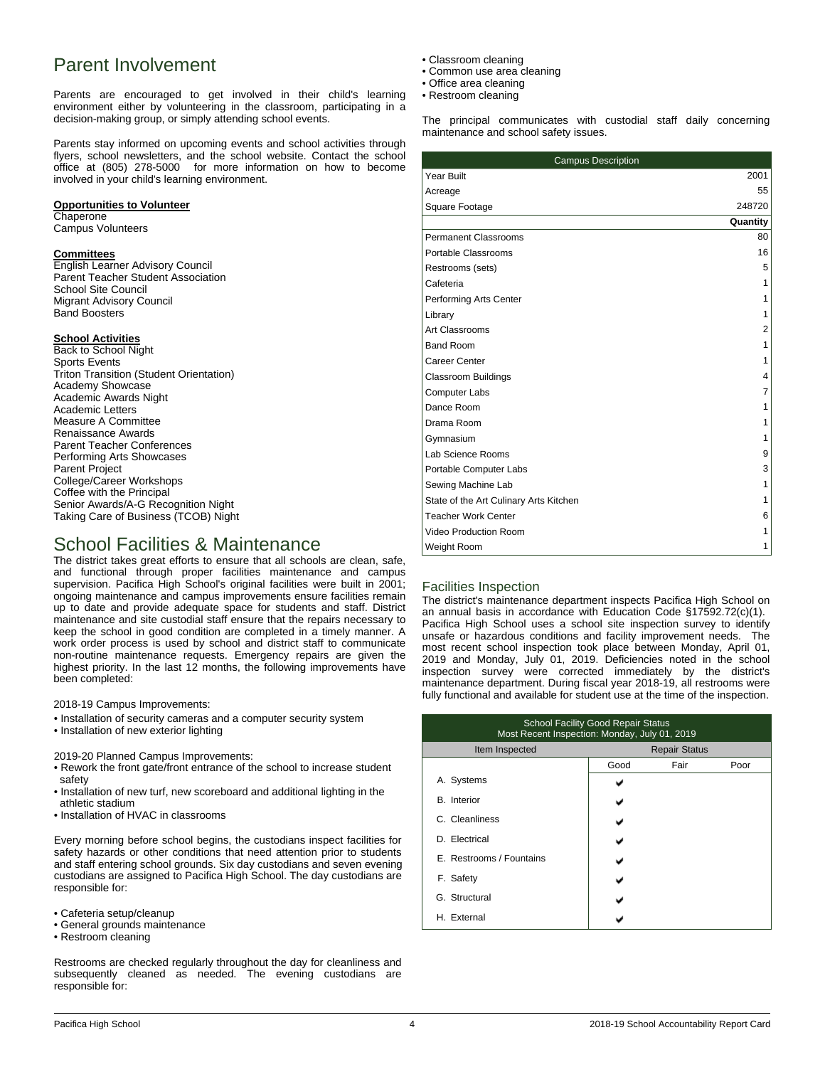# Parent Involvement

Parents are encouraged to get involved in their child's learning environment either by volunteering in the classroom, participating in a decision-making group, or simply attending school events.

Parents stay informed on upcoming events and school activities through flyers, school newsletters, and the school website. Contact the school office at (805) 278-5000 for more information on how to become involved in your child's learning environment.

### **Opportunities to Volunteer**

#### **Chaperone**

Campus Volunteers

### **Committees**

English Learner Advisory Council Parent Teacher Student Association School Site Council Migrant Advisory Council Band Boosters

### **School Activities**

Back to School Night Sports Events Triton Transition (Student Orientation) Academy Showcase Academic Awards Night Academic Letters Measure A Committee Renaissance Awards Parent Teacher Conferences Performing Arts Showcases Parent Project College/Career Workshops Coffee with the Principal Senior Awards/A-G Recognition Night Taking Care of Business (TCOB) Night

## School Facilities & Maintenance

The district takes great efforts to ensure that all schools are clean, safe, and functional through proper facilities maintenance and campus supervision. Pacifica High School's original facilities were built in 2001; ongoing maintenance and campus improvements ensure facilities remain up to date and provide adequate space for students and staff. District maintenance and site custodial staff ensure that the repairs necessary to keep the school in good condition are completed in a timely manner. A work order process is used by school and district staff to communicate non-routine maintenance requests. Emergency repairs are given the highest priority. In the last 12 months, the following improvements have been completed:

2018-19 Campus Improvements:

- Installation of security cameras and a computer security system
- Installation of new exterior lighting

2019-20 Planned Campus Improvements:

- Rework the front gate/front entrance of the school to increase student safety
- Installation of new turf, new scoreboard and additional lighting in the athletic stadium
- Installation of HVAC in classrooms

Every morning before school begins, the custodians inspect facilities for safety hazards or other conditions that need attention prior to students and staff entering school grounds. Six day custodians and seven evening custodians are assigned to Pacifica High School. The day custodians are responsible for:

- Cafeteria setup/cleanup
- General grounds maintenance
- Restroom cleaning

Restrooms are checked regularly throughout the day for cleanliness and subsequently cleaned as needed. The evening custodians are responsible for:

- Classroom cleaning
- Common use area cleaning
- Office area cleaning
- Restroom cleaning

The principal communicates with custodial staff daily concerning maintenance and school safety issues.

| <b>Campus Description</b>              |          |
|----------------------------------------|----------|
| Year Built                             | 2001     |
| Acreage                                | 55       |
| Square Footage                         | 248720   |
|                                        | Quantity |
| Permanent Classrooms                   | 80       |
| Portable Classrooms                    | 16       |
| Restrooms (sets)                       | 5        |
| Cafeteria                              | 1        |
| Performing Arts Center                 | 1        |
| Library                                | 1        |
| Art Classrooms                         | 2        |
| <b>Band Room</b>                       | 1        |
| Career Center                          | 1        |
| <b>Classroom Buildings</b>             | 4        |
| <b>Computer Labs</b>                   | 7        |
| Dance Room                             | 1        |
| Drama Room                             | 1        |
| Gymnasium                              | 1        |
| Lab Science Rooms                      | 9        |
| Portable Computer Labs                 | 3        |
| Sewing Machine Lab                     | 1        |
| State of the Art Culinary Arts Kitchen | 1        |
| <b>Teacher Work Center</b>             | 6        |
| Video Production Room                  | 1        |
| Weight Room                            | 1        |

### Facilities Inspection

The district's maintenance department inspects Pacifica High School on an annual basis in accordance with Education Code §17592.72(c)(1). Pacifica High School uses a school site inspection survey to identify unsafe or hazardous conditions and facility improvement needs. The most recent school inspection took place between Monday, April 01, 2019 and Monday, July 01, 2019. Deficiencies noted in the school inspection survey were corrected immediately by the district's maintenance department. During fiscal year 2018-19, all restrooms were fully functional and available for student use at the time of the inspection.

| <b>School Facility Good Repair Status</b><br>Most Recent Inspection: Monday, July 01, 2019 |                      |      |      |  |
|--------------------------------------------------------------------------------------------|----------------------|------|------|--|
| Item Inspected                                                                             | <b>Repair Status</b> |      |      |  |
|                                                                                            | Good                 | Fair | Poor |  |
| A. Systems                                                                                 |                      |      |      |  |
| <b>B.</b> Interior                                                                         |                      |      |      |  |
| C. Cleanliness                                                                             |                      |      |      |  |
| D. Electrical                                                                              |                      |      |      |  |
| E. Restrooms / Fountains                                                                   |                      |      |      |  |
| F. Safety                                                                                  |                      |      |      |  |
| G. Structural                                                                              |                      |      |      |  |
| H. External                                                                                |                      |      |      |  |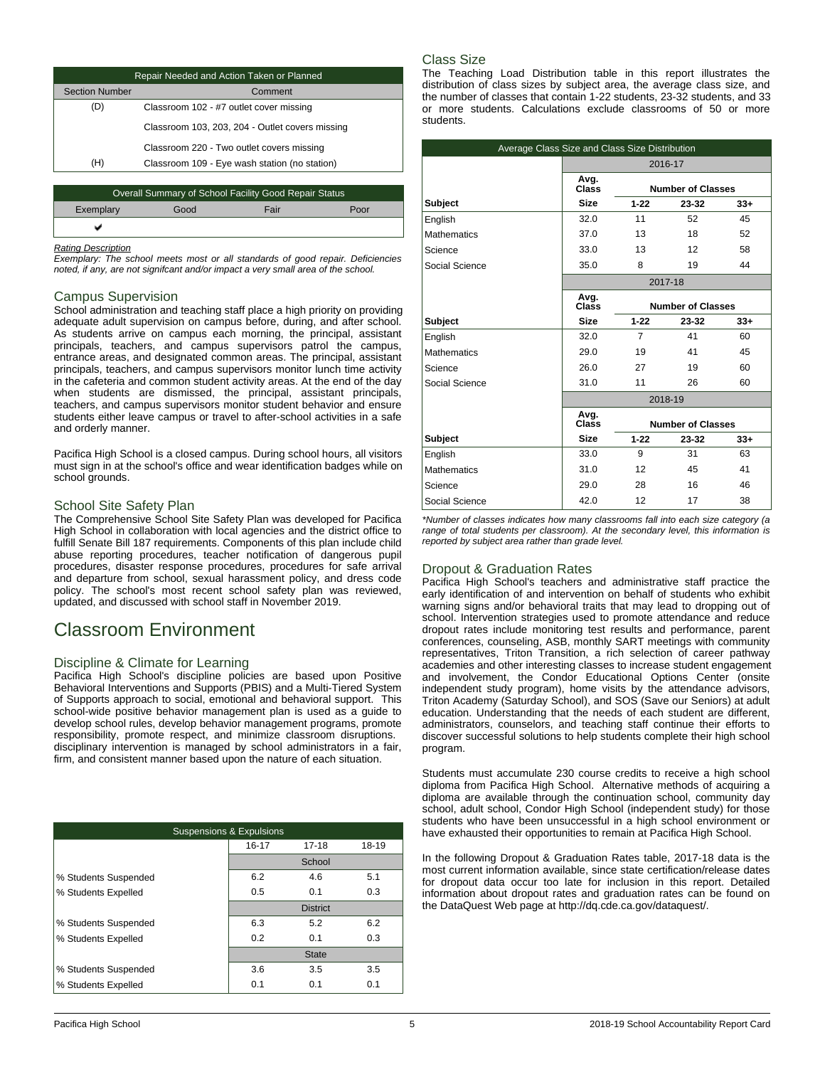| Repair Needed and Action Taken or Planned |                                                       |                                                 |  |  |
|-------------------------------------------|-------------------------------------------------------|-------------------------------------------------|--|--|
| <b>Section Number</b>                     |                                                       | Comment                                         |  |  |
| D)                                        |                                                       | Classroom 102 - #7 outlet cover missing         |  |  |
|                                           |                                                       | Classroom 103, 203, 204 - Outlet covers missing |  |  |
|                                           |                                                       | Classroom 220 - Two outlet covers missing       |  |  |
| (H)                                       |                                                       | Classroom 109 - Eye wash station (no station)   |  |  |
|                                           |                                                       |                                                 |  |  |
|                                           | Overall Summary of School Facility Good Repair Status |                                                 |  |  |
|                                           | $\sim$ $\sim$                                         |                                                 |  |  |

| Exemplary | Good | Enir<br>dll |  |
|-----------|------|-------------|--|
|           |      |             |  |
|           |      |             |  |

#### *Rating Description*

*Exemplary: The school meets most or all standards of good repair. Deficiencies noted, if any, are not signifcant and/or impact a very small area of the school.*

### Campus Supervision

School administration and teaching staff place a high priority on providing adequate adult supervision on campus before, during, and after school. As students arrive on campus each morning, the principal, assistant principals, teachers, and campus supervisors patrol the campus, entrance areas, and designated common areas. The principal, assistant principals, teachers, and campus supervisors monitor lunch time activity in the cafeteria and common student activity areas. At the end of the day when students are dismissed, the principal, assistant principals, teachers, and campus supervisors monitor student behavior and ensure students either leave campus or travel to after-school activities in a safe and orderly manner.

Pacifica High School is a closed campus. During school hours, all visitors must sign in at the school's office and wear identification badges while on school grounds.

### School Site Safety Plan

The Comprehensive School Site Safety Plan was developed for Pacifica High School in collaboration with local agencies and the district office to fulfill Senate Bill 187 requirements. Components of this plan include child abuse reporting procedures, teacher notification of dangerous pupil procedures, disaster response procedures, procedures for safe arrival and departure from school, sexual harassment policy, and dress code policy. The school's most recent school safety plan was reviewed, updated, and discussed with school staff in November 2019.

## Classroom Environment

### Discipline & Climate for Learning

Pacifica High School's discipline policies are based upon Positive Behavioral Interventions and Supports (PBIS) and a Multi-Tiered System of Supports approach to social, emotional and behavioral support. This school-wide positive behavior management plan is used as a guide to develop school rules, develop behavior management programs, promote responsibility, promote respect, and minimize classroom disruptions. disciplinary intervention is managed by school administrators in a fair, firm, and consistent manner based upon the nature of each situation.

| <b>Suspensions &amp; Expulsions</b> |        |                 |       |  |  |
|-------------------------------------|--------|-----------------|-------|--|--|
|                                     | 16-17  | $17 - 18$       | 18-19 |  |  |
|                                     | School |                 |       |  |  |
| % Students Suspended                | 6.2    | 4.6             | 5.1   |  |  |
| % Students Expelled                 | 0.5    | 0.1             | 0.3   |  |  |
|                                     |        | <b>District</b> |       |  |  |
| % Students Suspended                | 6.3    | 5.2             | 6.2   |  |  |
| % Students Expelled                 | 0.2    | 0.1             | 0.3   |  |  |
|                                     |        | <b>State</b>    |       |  |  |
| % Students Suspended                | 3.6    | 3.5             | 3.5   |  |  |
| % Students Expelled                 | 0.1    | 0.1             | 0.1   |  |  |

### Class Size

The Teaching Load Distribution table in this report illustrates the distribution of class sizes by subject area, the average class size, and the number of classes that contain 1-22 students, 23-32 students, and 33 or more students. Calculations exclude classrooms of 50 or more students.

| Average Class Size and Class Size Distribution |                                           |                            |                          |       |  |
|------------------------------------------------|-------------------------------------------|----------------------------|--------------------------|-------|--|
|                                                |                                           |                            | 2016-17                  |       |  |
|                                                | Avg.<br>Class                             |                            | <b>Number of Classes</b> |       |  |
| Subject                                        | <b>Size</b>                               | $1 - 22$<br>$33+$<br>23-32 |                          |       |  |
| English                                        | 32.0                                      | 11                         | 52                       | 45    |  |
| <b>Mathematics</b>                             | 37.0                                      | 13                         | 18                       | 52    |  |
| Science                                        | 33.0                                      | 13                         | 12                       | 58    |  |
| Social Science                                 | 35.0                                      | 8                          | 19                       | 44    |  |
|                                                | 2017-18                                   |                            |                          |       |  |
|                                                | Avg.<br>Class<br><b>Number of Classes</b> |                            |                          |       |  |
| <b>Subject</b>                                 | <b>Size</b>                               | $1 - 22$                   | 23-32                    | $33+$ |  |
| English                                        | 32.0                                      | $\overline{7}$             | 41                       | 60    |  |
| <b>Mathematics</b>                             | 29.0                                      | 19                         | 41                       | 45    |  |
| Science                                        | 26.0                                      | 27                         | 19                       | 60    |  |
| Social Science                                 | 31.0                                      | 11                         | 26                       | 60    |  |
|                                                |                                           |                            | 2018-19                  |       |  |
|                                                | Avg.<br>Class                             |                            | <b>Number of Classes</b> |       |  |
| <b>Subject</b>                                 | <b>Size</b>                               | $1 - 22$                   | 23-32                    | $33+$ |  |
| English                                        | 33.0                                      | 9                          | 31                       | 63    |  |
| <b>Mathematics</b>                             | 31.0                                      | 12                         | 45                       | 41    |  |
| Science                                        | 29.0                                      | 28                         | 16                       | 46    |  |
| Social Science                                 | 42.0                                      | 12                         | 17                       | 38    |  |

*\*Number of classes indicates how many classrooms fall into each size category (a range of total students per classroom). At the secondary level, this information is reported by subject area rather than grade level.*

## Dropout & Graduation Rates

Pacifica High School's teachers and administrative staff practice the early identification of and intervention on behalf of students who exhibit warning signs and/or behavioral traits that may lead to dropping out of school. Intervention strategies used to promote attendance and reduce dropout rates include monitoring test results and performance, parent conferences, counseling, ASB, monthly SART meetings with community representatives, Triton Transition, a rich selection of career pathway academies and other interesting classes to increase student engagement and involvement, the Condor Educational Options Center (onsite independent study program), home visits by the attendance advisors, Triton Academy (Saturday School), and SOS (Save our Seniors) at adult education. Understanding that the needs of each student are different, administrators, counselors, and teaching staff continue their efforts to discover successful solutions to help students complete their high school program.

Students must accumulate 230 course credits to receive a high school diploma from Pacifica High School. Alternative methods of acquiring a diploma are available through the continuation school, community day school, adult school, Condor High School (independent study) for those students who have been unsuccessful in a high school environment or have exhausted their opportunities to remain at Pacifica High School.

In the following Dropout & Graduation Rates table, 2017-18 data is the most current information available, since state certification/release dates for dropout data occur too late for inclusion in this report. Detailed information about dropout rates and graduation rates can be found on the DataQuest Web page at http://dq.cde.ca.gov/dataquest/.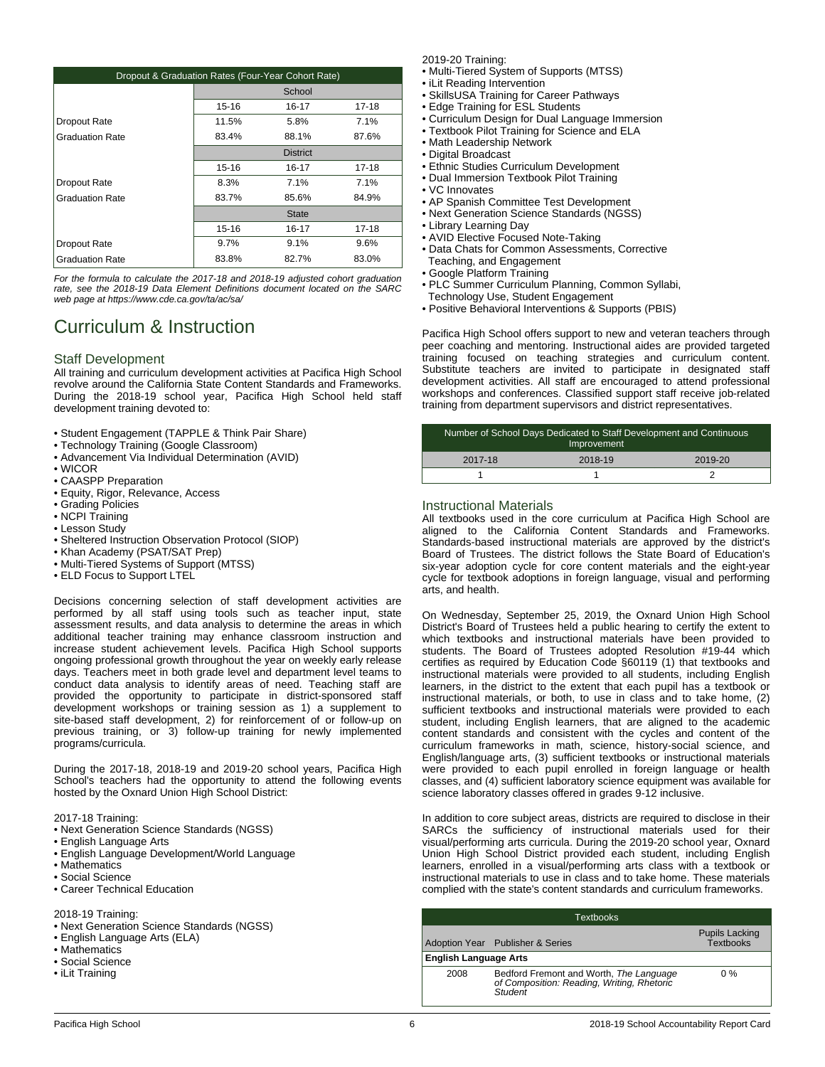| Dropout & Graduation Rates (Four-Year Cohort Rate) |                                     |           |           |  |
|----------------------------------------------------|-------------------------------------|-----------|-----------|--|
|                                                    | School                              |           |           |  |
|                                                    | $15 - 16$<br>$16 - 17$<br>$17 - 18$ |           |           |  |
| Dropout Rate                                       | 11.5%                               | 5.8%      | 7.1%      |  |
| <b>Graduation Rate</b>                             | 83.4%                               | 88.1%     | 87.6%     |  |
|                                                    | <b>District</b>                     |           |           |  |
|                                                    | 15-16                               | 16-17     | 17-18     |  |
| Dropout Rate                                       | 8.3%                                | 7.1%      | 7.1%      |  |
| <b>Graduation Rate</b>                             | 83.7%                               | 85.6%     | 84.9%     |  |
|                                                    | <b>State</b>                        |           |           |  |
|                                                    | $15 - 16$                           | $16 - 17$ | $17 - 18$ |  |
| Dropout Rate                                       | 9.7%                                | 9.1%      | 9.6%      |  |
| <b>Graduation Rate</b>                             | 83.8%                               | 82.7%     | 83.0%     |  |

*For the formula to calculate the 2017-18 and 2018-19 adjusted cohort graduation rate, see the 2018-19 Data Element Definitions document located on the SARC web page at https://www.cde.ca.gov/ta/ac/sa/*

# Curriculum & Instruction

### Staff Development

All training and curriculum development activities at Pacifica High School revolve around the California State Content Standards and Frameworks. During the 2018-19 school year, Pacifica High School held staff development training devoted to:

- Student Engagement (TAPPLE & Think Pair Share)
- Technology Training (Google Classroom)
- Advancement Via Individual Determination (AVID)
- WICOR
- CAASPP Preparation
- Equity, Rigor, Relevance, Access
- Grading Policies
- NCPI Training
- Lesson Study
- Sheltered Instruction Observation Protocol (SIOP)
- Khan Academy (PSAT/SAT Prep)
- Multi-Tiered Systems of Support (MTSS)
- ELD Focus to Support LTEL

Decisions concerning selection of staff development activities are performed by all staff using tools such as teacher input, state assessment results, and data analysis to determine the areas in which additional teacher training may enhance classroom instruction and increase student achievement levels. Pacifica High School supports ongoing professional growth throughout the year on weekly early release days. Teachers meet in both grade level and department level teams to conduct data analysis to identify areas of need. Teaching staff are provided the opportunity to participate in district-sponsored staff development workshops or training session as 1) a supplement to site-based staff development, 2) for reinforcement of or follow-up on previous training, or 3) follow-up training for newly implemented programs/curricula.

During the 2017-18, 2018-19 and 2019-20 school years, Pacifica High School's teachers had the opportunity to attend the following events hosted by the Oxnard Union High School District:

2017-18 Training:

- Next Generation Science Standards (NGSS)
- English Language Arts
- English Language Development/World Language
- Mathematics
- Social Science
- Career Technical Education

#### 2018-19 Training:

- Next Generation Science Standards (NGSS)
- English Language Arts (ELA)
- Mathematics
- Social Science
- iLit Training

2019-20 Training:

- Multi-Tiered System of Supports (MTSS)
- iLit Reading Intervention
- SkillsUSA Training for Career Pathways
- Edge Training for ESL Students
- Curriculum Design for Dual Language Immersion
- Textbook Pilot Training for Science and ELA
- Math Leadership Network
- Digital Broadcast
- Ethnic Studies Curriculum Development
- Dual Immersion Textbook Pilot Training
- VC Innovates
- AP Spanish Committee Test Development
- Next Generation Science Standards (NGSS)
- Library Learning Day
- AVID Elective Focused Note-Taking
- Data Chats for Common Assessments, Corrective
- Teaching, and Engagement • Google Platform Training
- PLC Summer Curriculum Planning, Common Syllabi,
- Technology Use, Student Engagement
- Positive Behavioral Interventions & Supports (PBIS)

Pacifica High School offers support to new and veteran teachers through peer coaching and mentoring. Instructional aides are provided targeted training focused on teaching strategies and curriculum content. Substitute teachers are invited to participate in designated staff development activities. All staff are encouraged to attend professional workshops and conferences. Classified support staff receive job-related training from department supervisors and district representatives.

| Number of School Days Dedicated to Staff Development and Continuous<br>Improvement |         |         |  |
|------------------------------------------------------------------------------------|---------|---------|--|
| 2017-18                                                                            | 2018-19 | 2019-20 |  |
|                                                                                    |         |         |  |

### Instructional Materials

All textbooks used in the core curriculum at Pacifica High School are aligned to the California Content Standards and Frameworks. Standards-based instructional materials are approved by the district's Board of Trustees. The district follows the State Board of Education's six-year adoption cycle for core content materials and the eight-year cycle for textbook adoptions in foreign language, visual and performing arts, and health.

On Wednesday, September 25, 2019, the Oxnard Union High School District's Board of Trustees held a public hearing to certify the extent to which textbooks and instructional materials have been provided to students. The Board of Trustees adopted Resolution #19-44 which certifies as required by Education Code §60119 (1) that textbooks and instructional materials were provided to all students, including English learners, in the district to the extent that each pupil has a textbook or instructional materials, or both, to use in class and to take home, (2) sufficient textbooks and instructional materials were provided to each student, including English learners, that are aligned to the academic content standards and consistent with the cycles and content of the curriculum frameworks in math, science, history-social science, and English/language arts, (3) sufficient textbooks or instructional materials were provided to each pupil enrolled in foreign language or health classes, and (4) sufficient laboratory science equipment was available for science laboratory classes offered in grades 9-12 inclusive.

In addition to core subject areas, districts are required to disclose in their SARCs the sufficiency of instructional materials used for their visual/performing arts curricula. During the 2019-20 school year, Oxnard Union High School District provided each student, including English learners, enrolled in a visual/performing arts class with a textbook or instructional materials to use in class and to take home. These materials complied with the state's content standards and curriculum frameworks.

|                              | Textbooks                                                                                        |                                           |
|------------------------------|--------------------------------------------------------------------------------------------------|-------------------------------------------|
|                              | Adoption Year Publisher & Series                                                                 | <b>Pupils Lacking</b><br><b>Textbooks</b> |
| <b>English Language Arts</b> |                                                                                                  |                                           |
| 2008                         | Bedford Fremont and Worth, The Language<br>of Composition: Reading, Writing, Rhetoric<br>Student | $0\%$                                     |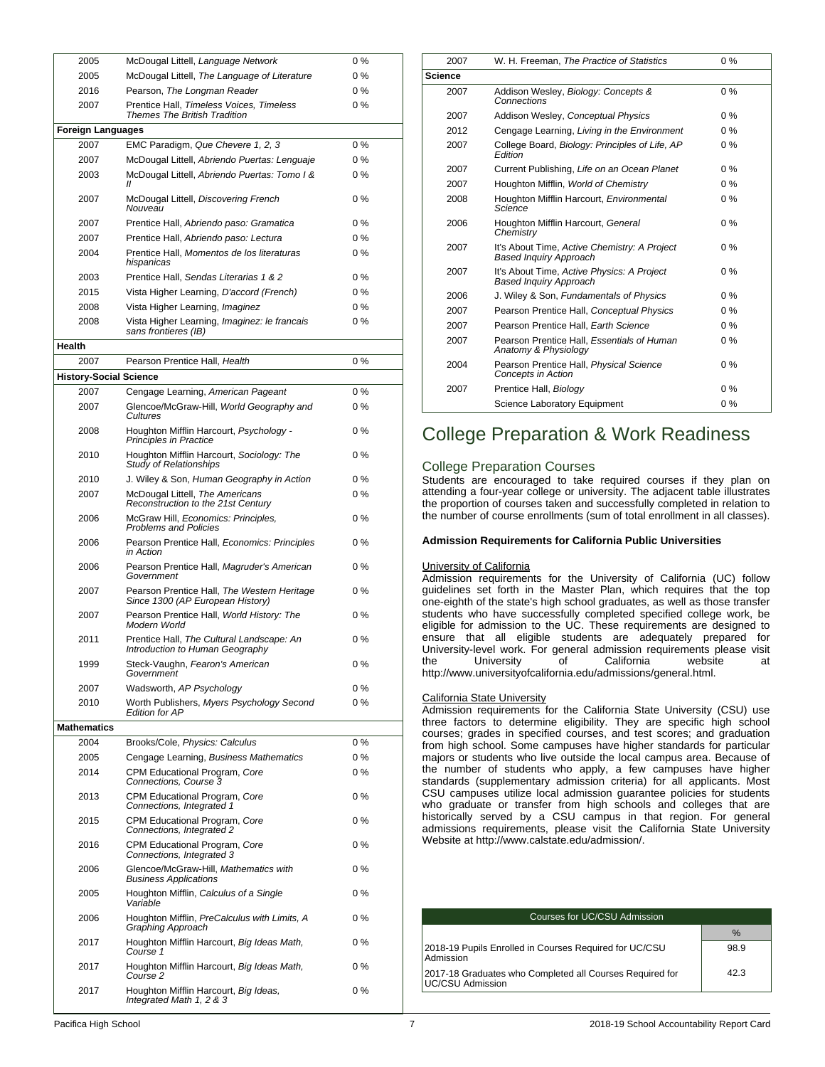| 2005                          | McDougal Littell, Language Network                                                               | 0%             |
|-------------------------------|--------------------------------------------------------------------------------------------------|----------------|
| 2005                          | McDougal Littell, The Language of Literature                                                     | $0\%$          |
| 2016                          | Pearson, The Longman Reader                                                                      | $0\%$          |
| 2007                          | Prentice Hall, Timeless Voices, Timeless<br><b>Themes The British Tradition</b>                  | 0%             |
| <b>Foreign Languages</b>      |                                                                                                  |                |
| 2007                          | EMC Paradigm, Que Chevere 1, 2, 3                                                                | 0%             |
| 2007                          | McDougal Littell, Abriendo Puertas: Lenguaje                                                     | $0\%$          |
| 2003                          | McDougal Littell, Abriendo Puertas: Tomo I &<br>Н                                                | $0\%$          |
| 2007                          | McDougal Littell, Discovering French<br>Nouveau                                                  | $0\%$          |
| 2007                          | Prentice Hall, Abriendo paso: Gramatica                                                          | $0\%$          |
| 2007                          | Prentice Hall, Abriendo paso: Lectura                                                            | $0\%$          |
| 2004                          | Prentice Hall, Momentos de los literaturas<br>hispanicas                                         | $0\%$          |
| 2003                          | Prentice Hall, Sendas Literarias 1 & 2                                                           | $0\%$          |
| 2015                          | Vista Higher Learning, D'accord (French)                                                         | $0\%$          |
| 2008                          | Vista Higher Learning, Imaginez                                                                  | 0%             |
| 2008                          | Vista Higher Learning, Imaginez: le francais<br>sans frontieres (IB)                             | $0\%$          |
| <b>Health</b>                 |                                                                                                  |                |
| 2007                          | Pearson Prentice Hall, Health                                                                    | $0\%$          |
| <b>History-Social Science</b> |                                                                                                  |                |
| 2007                          | Cengage Learning, American Pageant                                                               | $0\%$          |
| 2007                          | Glencoe/McGraw-Hill, World Geography and<br>Cultures                                             | 0%             |
| 2008                          | Houghton Mifflin Harcourt, Psychology -<br>Principles in Practice                                | $0\%$          |
| 2010                          | Houghton Mifflin Harcourt, Sociology: The<br><b>Study of Relationships</b>                       | 0%             |
| 2010                          | J. Wiley & Son, Human Geography in Action                                                        | $0\%$          |
| 2007                          | McDougal Littell, The Americans<br>Reconstruction to the 21st Century                            | $0\%$          |
| 2006                          | McGraw Hill, Economics: Principles,<br><b>Problems and Policies</b>                              | $0\%$          |
| 2006                          | Pearson Prentice Hall, Economics: Principles<br>in Action                                        | $0\%$          |
| 2006                          | Pearson Prentice Hall, Magruder's American<br>Government                                         | $0\%$          |
| 2007                          | Pearson Prentice Hall, The Western Heritage<br>Since 1300 (AP European History)                  | $0\%$          |
| 2007                          | Pearson Prentice Hall, World History: The<br>Modern World                                        | $0\%$          |
| 2011                          | Prentice Hall, The Cultural Landscape: An<br>Introduction to Human Geography                     | $0\%$          |
| 1999                          | Steck-Vaughn, <i>Fearon's American</i><br>Government                                             | 0 %            |
| 2007                          | Wadsworth, AP Psychology                                                                         | $0\%$          |
| 2010                          | Worth Publishers, Myers Psychology Second<br><b>Edition for AP</b>                               | $0\%$          |
| <b>Mathematics</b>            |                                                                                                  |                |
| 2004                          | Brooks/Cole, Physics: Calculus                                                                   | 0%             |
| 2005<br>2014                  | Cengage Learning, Business Mathematics<br>CPM Educational Program, Core<br>Connections, Course 3 | $0\%$<br>$0\%$ |
| 2013                          | CPM Educational Program, Core<br>Connections, Integrated 1                                       | 0%             |
| 2015                          | CPM Educational Program, Core<br>Connections, Integrated 2                                       | 0%             |
| 2016                          | CPM Educational Program, Core<br>Connections, Integrated 3                                       | 0%             |
| 2006                          | Glencoe/McGraw-Hill, Mathematics with<br><b>Business Applications</b>                            | 0%             |
| 2005                          | Houghton Mifflin, Calculus of a Single<br>Variable                                               | 0%             |
| 2006                          | Houghton Mifflin, PreCalculus with Limits, A<br>Graphing Approach                                | 0%             |
| 2017                          | Houghton Mifflin Harcourt, Big Ideas Math,<br>Course 1                                           | 0%             |
| 2017                          | Houghton Mifflin Harcourt, Big Ideas Math,<br>Course <sub>2</sub>                                | 0%             |
| 2017                          | Houghton Mifflin Harcourt, Big Ideas,<br>Integrated Math 1, 2 & 3                                | 0%             |

| 2007           | W. H. Freeman, The Practice of Statistics                                     | $0\%$ |
|----------------|-------------------------------------------------------------------------------|-------|
| <b>Science</b> |                                                                               |       |
| 2007           | Addison Wesley, Biology: Concepts &<br>Connections                            | $0\%$ |
| 2007           | Addison Wesley, Conceptual Physics                                            | $0\%$ |
| 2012           | Cengage Learning, Living in the Environment                                   | $0\%$ |
| 2007           | College Board, Biology: Principles of Life, AP<br>Edition                     | $0\%$ |
| 2007           | Current Publishing, Life on an Ocean Planet                                   | $0\%$ |
| 2007           | Houghton Mifflin, World of Chemistry                                          | $0\%$ |
| 2008           | Houghton Mifflin Harcourt, Environmental<br>Science                           | $0\%$ |
| 2006           | Houghton Mifflin Harcourt, General<br>Chemistry                               | $0\%$ |
| 2007           | It's About Time, Active Chemistry: A Project<br><b>Based Inquiry Approach</b> | $0\%$ |
| 2007           | It's About Time, Active Physics: A Project<br><b>Based Inquiry Approach</b>   | $0\%$ |
| 2006           | J. Wiley & Son, Fundamentals of Physics                                       | $0\%$ |
| 2007           | Pearson Prentice Hall, Conceptual Physics                                     | $0\%$ |
| 2007           | Pearson Prentice Hall. Earth Science                                          | $0\%$ |
| 2007           | Pearson Prentice Hall, Essentials of Human<br>Anatomy & Physiology            | $0\%$ |
| 2004           | Pearson Prentice Hall, Physical Science<br><b>Concepts in Action</b>          | $0\%$ |
| 2007           | Prentice Hall, Biology                                                        | $0\%$ |
|                | Science Laboratory Equipment                                                  | $0\%$ |
|                |                                                                               |       |

## College Preparation & Work Readiness

### College Preparation Courses

Students are encouraged to take required courses if they plan on attending a four-year college or university. The adjacent table illustrates the proportion of courses taken and successfully completed in relation to the number of course enrollments (sum of total enrollment in all classes).

### **Admission Requirements for California Public Universities**

#### University of California

Admission requirements for the University of California (UC) follow guidelines set forth in the Master Plan, which requires that the top one-eighth of the state's high school graduates, as well as those transfer students who have successfully completed specified college work, be eligible for admission to the UC. These requirements are designed to ensure that all eligible students are adequately prepared for University-level work. For general admission requirements please visit the University of California website at http://www.universityofcalifornia.edu/admissions/general.html.

#### California State University

Admission requirements for the California State University (CSU) use three factors to determine eligibility. They are specific high school courses; grades in specified courses, and test scores; and graduation from high school. Some campuses have higher standards for particular majors or students who live outside the local campus area. Because of the number of students who apply, a few campuses have higher standards (supplementary admission criteria) for all applicants. Most CSU campuses utilize local admission guarantee policies for students who graduate or transfer from high schools and colleges that are historically served by a CSU campus in that region. For general admissions requirements, please visit the California State University Website at http://www.calstate.edu/admission/.

| Courses for UC/CSU Admission                                                 |      |  |
|------------------------------------------------------------------------------|------|--|
|                                                                              | $\%$ |  |
| 2018-19 Pupils Enrolled in Courses Required for UC/CSU<br>Admission          | 98.9 |  |
| 2017-18 Graduates who Completed all Courses Required for<br>UC/CSU Admission | 42.3 |  |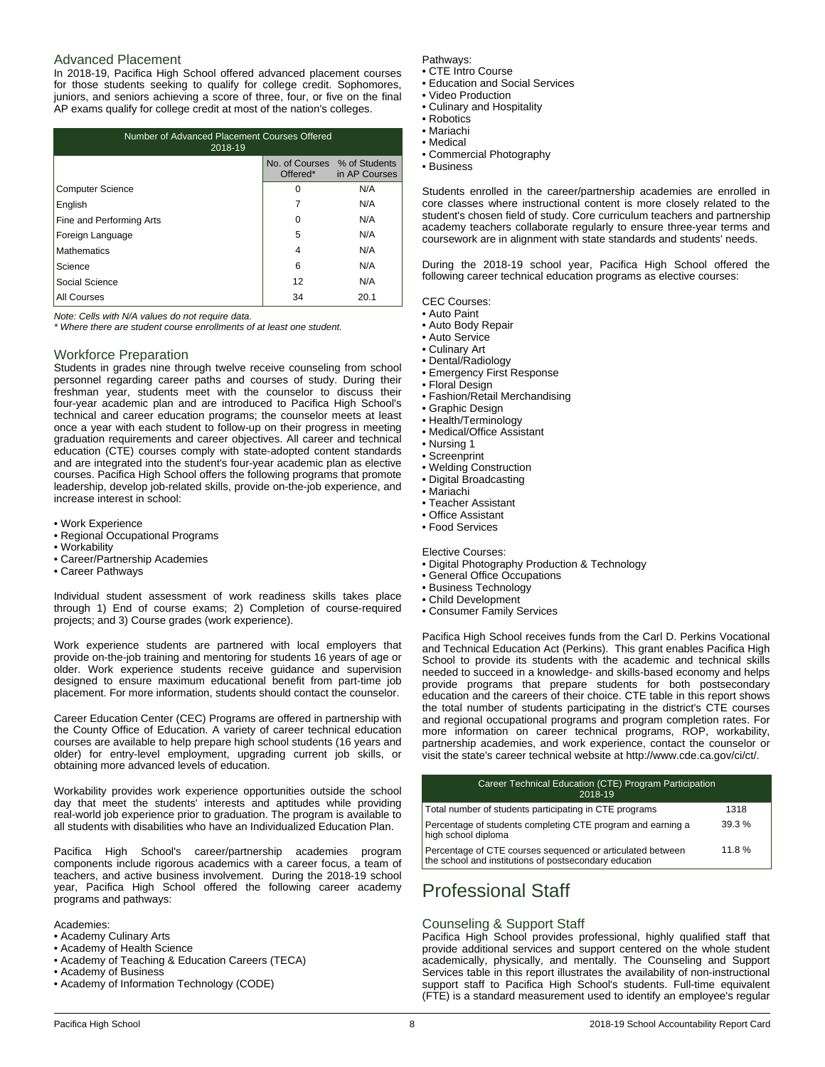### Advanced Placement

In 2018-19, Pacifica High School offered advanced placement courses for those students seeking to qualify for college credit. Sophomores, juniors, and seniors achieving a score of three, four, or five on the final AP exams qualify for college credit at most of the nation's colleges.

| Number of Advanced Placement Courses Offered<br>2018-19               |    |      |  |  |
|-----------------------------------------------------------------------|----|------|--|--|
| No. of Courses % of Students<br>Offered <sup>*</sup><br>in AP Courses |    |      |  |  |
| <b>Computer Science</b>                                               | 0  | N/A  |  |  |
| English                                                               |    | N/A  |  |  |
| Fine and Performing Arts                                              | 0  | N/A  |  |  |
| Foreign Language                                                      | 5  | N/A  |  |  |
| Mathematics                                                           | 4  | N/A  |  |  |
| Science                                                               | 6  | N/A  |  |  |
| Social Science                                                        | 12 | N/A  |  |  |
| All Courses                                                           | 34 | 20.1 |  |  |

*Note: Cells with N/A values do not require data.*

*\* Where there are student course enrollments of at least one student.*

#### Workforce Preparation

Students in grades nine through twelve receive counseling from school personnel regarding career paths and courses of study. During their freshman year, students meet with the counselor to discuss their four-year academic plan and are introduced to Pacifica High School's technical and career education programs; the counselor meets at least once a year with each student to follow-up on their progress in meeting graduation requirements and career objectives. All career and technical education (CTE) courses comply with state-adopted content standards and are integrated into the student's four-year academic plan as elective courses. Pacifica High School offers the following programs that promote leadership, develop job-related skills, provide on-the-job experience, and increase interest in school:

- Work Experience
- Regional Occupational Programs
- Workability
- Career/Partnership Academies
- Career Pathways

Individual student assessment of work readiness skills takes place through 1) End of course exams; 2) Completion of course-required projects; and 3) Course grades (work experience).

Work experience students are partnered with local employers that provide on-the-job training and mentoring for students 16 years of age or older. Work experience students receive guidance and supervision designed to ensure maximum educational benefit from part-time job placement. For more information, students should contact the counselor.

Career Education Center (CEC) Programs are offered in partnership with the County Office of Education. A variety of career technical education courses are available to help prepare high school students (16 years and older) for entry-level employment, upgrading current job skills, or obtaining more advanced levels of education.

Workability provides work experience opportunities outside the school day that meet the students' interests and aptitudes while providing real-world job experience prior to graduation. The program is available to all students with disabilities who have an Individualized Education Plan.

Pacifica High School's career/partnership academies program components include rigorous academics with a career focus, a team of teachers, and active business involvement. During the 2018-19 school year, Pacifica High School offered the following career academy programs and pathways:

Academies:

- Academy Culinary Arts
- Academy of Health Science
- Academy of Teaching & Education Careers (TECA)
- Academy of Business
- Academy of Information Technology (CODE)

### Pathways:

- CTE Intro Course • Education and Social Services
- Video Production
- Culinary and Hospitality
- Robotics
- Mariachi
- Medical
- Commercial Photography
- Business

Students enrolled in the career/partnership academies are enrolled in core classes where instructional content is more closely related to the student's chosen field of study. Core curriculum teachers and partnership academy teachers collaborate regularly to ensure three-year terms and coursework are in alignment with state standards and students' needs.

During the 2018-19 school year, Pacifica High School offered the following career technical education programs as elective courses:

CEC Courses:

- Auto Paint
	- Auto Body Repair
	- Auto Service
	- Culinary Art
	- Dental/Radiology
	- Emergency First Response
	- Floral Design
	- Fashion/Retail Merchandising
	- Graphic Design • Health/Terminology
	- Medical/Office Assistant
	- Nursing 1
	- Screenprint
	- Welding Construction
	- Digital Broadcasting
- Mariachi
- Teacher Assistant
- Office Assistant
- Food Services

Elective Courses:

- Digital Photography Production & Technology
- General Office Occupations
- Business Technology
- Child Development
- Consumer Family Services

Pacifica High School receives funds from the Carl D. Perkins Vocational and Technical Education Act (Perkins). This grant enables Pacifica High School to provide its students with the academic and technical skills needed to succeed in a knowledge- and skills-based economy and helps provide programs that prepare students for both postsecondary education and the careers of their choice. CTE table in this report shows the total number of students participating in the district's CTE courses and regional occupational programs and program completion rates. For more information on career technical programs, ROP, workability, partnership academies, and work experience, contact the counselor or visit the state's career technical website at http://www.cde.ca.gov/ci/ct/.

| Career Technical Education (CTE) Program Participation<br>2018-19                                                    |       |
|----------------------------------------------------------------------------------------------------------------------|-------|
| Total number of students participating in CTE programs                                                               | 1318  |
| Percentage of students completing CTE program and earning a<br>high school diploma                                   | 39.3% |
| Percentage of CTE courses sequenced or articulated between<br>the school and institutions of postsecondary education | 11.8% |

# Professional Staff

### Counseling & Support Staff

Pacifica High School provides professional, highly qualified staff that provide additional services and support centered on the whole student academically, physically, and mentally. The Counseling and Support Services table in this report illustrates the availability of non-instructional support staff to Pacifica High School's students. Full-time equivalent (FTE) is a standard measurement used to identify an employee's regular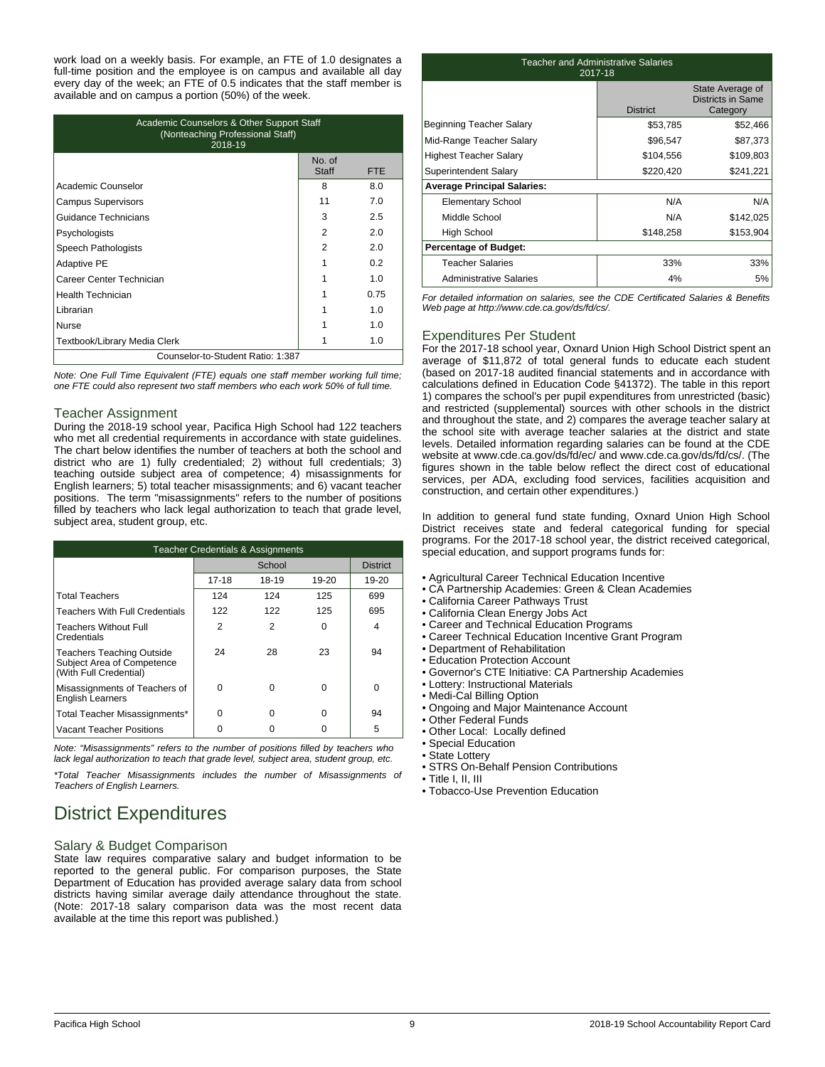work load on a weekly basis. For example, an FTE of 1.0 designates a full-time position and the employee is on campus and available all day every day of the week; an FTE of 0.5 indicates that the staff member is available and on campus a portion (50%) of the week.

| Academic Counselors & Other Support Staff<br>(Nonteaching Professional Staff)<br>2018-19 |                 |     |  |  |
|------------------------------------------------------------------------------------------|-----------------|-----|--|--|
|                                                                                          | No. of<br>Staff | FTE |  |  |
| Academic Counselor                                                                       | 8               | 8.0 |  |  |
| <b>Campus Supervisors</b>                                                                | 11              | 7.0 |  |  |
| Guidance Technicians                                                                     | 3               | 2.5 |  |  |
| Psychologists                                                                            | $\mathfrak{p}$  | 2.0 |  |  |
| Speech Pathologists                                                                      | 2               | 2.0 |  |  |
| <b>Adaptive PE</b>                                                                       | 1               | 0.2 |  |  |
| Career Center Technician                                                                 |                 | 1 O |  |  |
| <b>Health Technician</b><br>0.75                                                         |                 |     |  |  |
| Librarian                                                                                |                 | 1.0 |  |  |
| <b>Nurse</b>                                                                             |                 | 1.0 |  |  |
| Textbook/Library Media Clerk                                                             |                 | 1.0 |  |  |
| Counselor-to-Student Ratio: 1:387                                                        |                 |     |  |  |

*Note: One Full Time Equivalent (FTE) equals one staff member working full time; one FTE could also represent two staff members who each work 50% of full time.*

### Teacher Assignment

During the 2018-19 school year, Pacifica High School had 122 teachers who met all credential requirements in accordance with state guidelines. The chart below identifies the number of teachers at both the school and district who are 1) fully credentialed; 2) without full credentials; 3) teaching outside subject area of competence; 4) misassignments for English learners; 5) total teacher misassignments; and 6) vacant teacher positions. The term "misassignments" refers to the number of positions filled by teachers who lack legal authorization to teach that grade level, subject area, student group, etc.

| <b>Teacher Credentials &amp; Assignments</b>                                             |          |                |           |       |
|------------------------------------------------------------------------------------------|----------|----------------|-----------|-------|
|                                                                                          |          | School         |           |       |
|                                                                                          | 17-18    | 18-19          | $19 - 20$ | 19-20 |
| <b>Total Teachers</b>                                                                    | 124      | 124            | 125       | 699   |
| <b>Teachers With Full Credentials</b>                                                    | 122      | 122            | 125       | 695   |
| <b>Teachers Without Full</b><br>Credentials                                              | 2        | $\overline{2}$ | U         | 4     |
| <b>Teachers Teaching Outside</b><br>Subject Area of Competence<br>(With Full Credential) | 24       | 28             | 23        | 94    |
| Misassignments of Teachers of<br><b>English Learners</b>                                 | $\Omega$ | 0              | $\Omega$  | 0     |
| Total Teacher Misassignments*                                                            | 0        | 0              | 0         | 94    |
| Vacant Teacher Positions                                                                 |          |                |           | 5     |

*Note: "Misassignments" refers to the number of positions filled by teachers who lack legal authorization to teach that grade level, subject area, student group, etc.*

*\*Total Teacher Misassignments includes the number of Misassignments of Teachers of English Learners.*

# District Expenditures

### Salary & Budget Comparison

State law requires comparative salary and budget information to be reported to the general public. For comparison purposes, the State Department of Education has provided average salary data from school districts having similar average daily attendance throughout the state. (Note: 2017-18 salary comparison data was the most recent data available at the time this report was published.)

| <b>Teacher and Administrative Salaries</b><br>2017-18 |                 |                                                   |  |  |
|-------------------------------------------------------|-----------------|---------------------------------------------------|--|--|
|                                                       | <b>District</b> | State Average of<br>Districts in Same<br>Category |  |  |
| Beginning Teacher Salary                              | \$53,785        | \$52,466                                          |  |  |
| Mid-Range Teacher Salary                              | \$96,547        | \$87,373                                          |  |  |
| <b>Highest Teacher Salary</b>                         | \$104,556       | \$109,803                                         |  |  |
| Superintendent Salary                                 | \$220,420       | \$241,221                                         |  |  |
| <b>Average Principal Salaries:</b>                    |                 |                                                   |  |  |
| <b>Elementary School</b>                              | N/A             | N/A                                               |  |  |
| Middle School                                         | N/A             | \$142,025                                         |  |  |
| High School                                           | \$148,258       | \$153,904                                         |  |  |
| <b>Percentage of Budget:</b>                          |                 |                                                   |  |  |
| <b>Teacher Salaries</b>                               | 33%             | 33%                                               |  |  |
| Administrative Salaries                               | 4%              | 5%                                                |  |  |

*For detailed information on salaries, see the CDE Certificated Salaries & Benefits Web page at http://www.cde.ca.gov/ds/fd/cs/.*

## Expenditures Per Student

For the 2017-18 school year, Oxnard Union High School District spent an average of \$11,872 of total general funds to educate each student (based on 2017-18 audited financial statements and in accordance with calculations defined in Education Code §41372). The table in this report 1) compares the school's per pupil expenditures from unrestricted (basic) and restricted (supplemental) sources with other schools in the district and throughout the state, and 2) compares the average teacher salary at the school site with average teacher salaries at the district and state levels. Detailed information regarding salaries can be found at the CDE website at www.cde.ca.gov/ds/fd/ec/ and www.cde.ca.gov/ds/fd/cs/. (The figures shown in the table below reflect the direct cost of educational services, per ADA, excluding food services, facilities acquisition and construction, and certain other expenditures.)

In addition to general fund state funding, Oxnard Union High School District receives state and federal categorical funding for special programs. For the 2017-18 school year, the district received categorical, special education, and support programs funds for:

- Agricultural Career Technical Education Incentive
- CA Partnership Academies: Green & Clean Academies
- California Career Pathways Trust
- California Clean Energy Jobs Act
- Career and Technical Education Programs
- Career Technical Education Incentive Grant Program
- Department of Rehabilitation
- Education Protection Account
- Governor's CTE Initiative: CA Partnership Academies
- Lottery: Instructional Materials
- Medi-Cal Billing Option
- Ongoing and Major Maintenance Account
- Other Federal Funds
- Other Local: Locally defined
- Special Education
- State Lottery
	- STRS On-Behalf Pension Contributions
	- Title I, II, III
	- Tobacco-Use Prevention Education